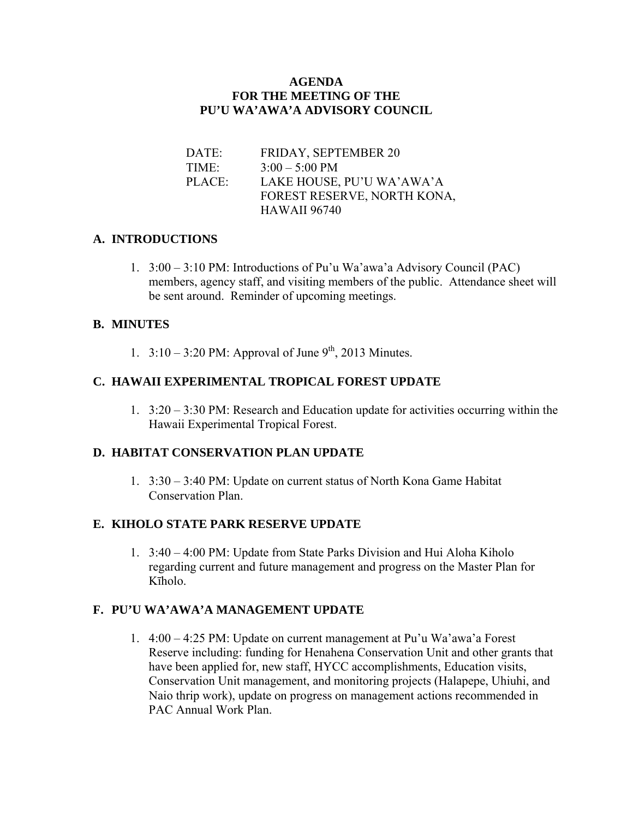#### **AGENDA FOR THE MEETING OF THE PU'U WA'AWA'A ADVISORY COUNCIL**

DATE: FRIDAY, SEPTEMBER 20 TIME:  $3:00 - 5:00 \text{ PM}$  PLACE: LAKE HOUSE, PU'U WA'AWA'A FOREST RESERVE, NORTH KONA, HAWAII 96740

## **A. INTRODUCTIONS**

1. 3:00 – 3:10 PM: Introductions of Pu'u Wa'awa'a Advisory Council (PAC) members, agency staff, and visiting members of the public. Attendance sheet will be sent around. Reminder of upcoming meetings.

#### **B. MINUTES**

1.  $3:10 - 3:20$  PM: Approval of June 9<sup>th</sup>, 2013 Minutes.

## **C. HAWAII EXPERIMENTAL TROPICAL FOREST UPDATE**

1. 3:20 – 3:30 PM: Research and Education update for activities occurring within the Hawaii Experimental Tropical Forest.

#### **D. HABITAT CONSERVATION PLAN UPDATE**

1. 3:30 – 3:40 PM: Update on current status of North Kona Game Habitat Conservation Plan.

## **E. KIHOLO STATE PARK RESERVE UPDATE**

1. 3:40 – 4:00 PM: Update from State Parks Division and Hui Aloha Kiholo regarding current and future management and progress on the Master Plan for Kīholo.

#### **F. PU'U WA'AWA'A MANAGEMENT UPDATE**

1. 4:00 – 4:25 PM: Update on current management at Pu'u Wa'awa'a Forest Reserve including: funding for Henahena Conservation Unit and other grants that have been applied for, new staff, HYCC accomplishments, Education visits, Conservation Unit management, and monitoring projects (Halapepe, Uhiuhi, and Naio thrip work), update on progress on management actions recommended in PAC Annual Work Plan.